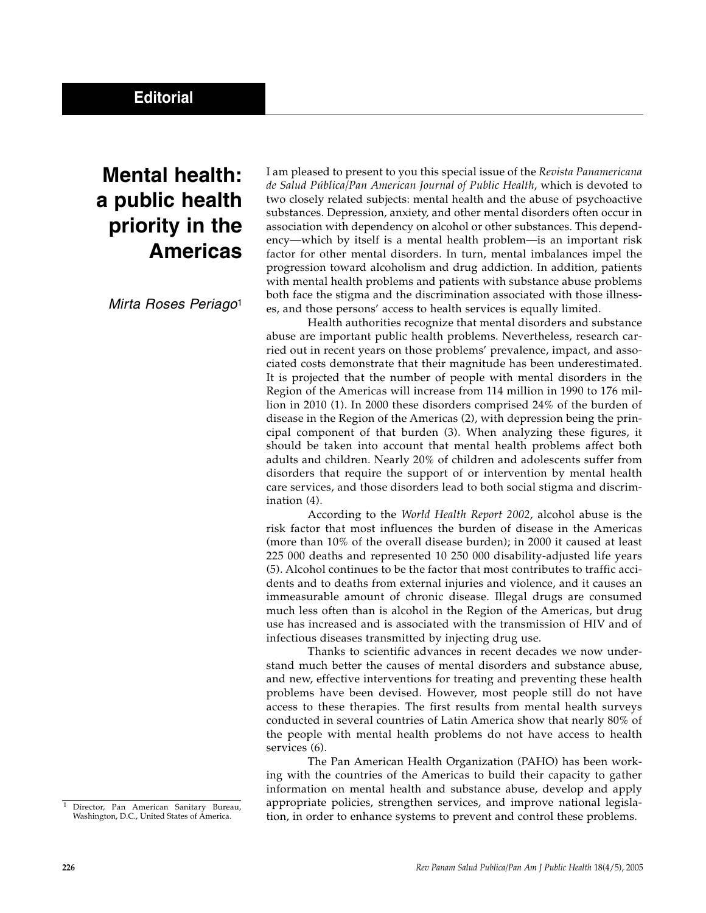## **Mental health: a public health priority in the Americas**

Mirta Roses Periago<sup>1</sup>

I am pleased to present to you this special issue of the *Revista Panamericana de Salud Pública/Pan American Journal of Public Health*, which is devoted to two closely related subjects: mental health and the abuse of psychoactive substances. Depression, anxiety, and other mental disorders often occur in association with dependency on alcohol or other substances. This dependency—which by itself is a mental health problem—is an important risk factor for other mental disorders. In turn, mental imbalances impel the progression toward alcoholism and drug addiction. In addition, patients with mental health problems and patients with substance abuse problems both face the stigma and the discrimination associated with those illnesses, and those persons' access to health services is equally limited.

Health authorities recognize that mental disorders and substance abuse are important public health problems. Nevertheless, research carried out in recent years on those problems' prevalence, impact, and associated costs demonstrate that their magnitude has been underestimated. It is projected that the number of people with mental disorders in the Region of the Americas will increase from 114 million in 1990 to 176 million in 2010 (1). In 2000 these disorders comprised 24% of the burden of disease in the Region of the Americas (2), with depression being the principal component of that burden (3). When analyzing these figures, it should be taken into account that mental health problems affect both adults and children. Nearly 20% of children and adolescents suffer from disorders that require the support of or intervention by mental health care services, and those disorders lead to both social stigma and discrimination (4).

According to the *World Health Report 2002*, alcohol abuse is the risk factor that most influences the burden of disease in the Americas (more than 10% of the overall disease burden); in 2000 it caused at least 225 000 deaths and represented 10 250 000 disability-adjusted life years (5). Alcohol continues to be the factor that most contributes to traffic accidents and to deaths from external injuries and violence, and it causes an immeasurable amount of chronic disease. Illegal drugs are consumed much less often than is alcohol in the Region of the Americas, but drug use has increased and is associated with the transmission of HIV and of infectious diseases transmitted by injecting drug use.

Thanks to scientific advances in recent decades we now understand much better the causes of mental disorders and substance abuse, and new, effective interventions for treating and preventing these health problems have been devised. However, most people still do not have access to these therapies. The first results from mental health surveys conducted in several countries of Latin America show that nearly 80% of the people with mental health problems do not have access to health services (6).

The Pan American Health Organization (PAHO) has been working with the countries of the Americas to build their capacity to gather information on mental health and substance abuse, develop and apply appropriate policies, strengthen services, and improve national legislation, in order to enhance systems to prevent and control these problems.

<sup>&</sup>lt;sup>1</sup> Director, Pan American Sanitary Bureau, Washington, D.C., United States of America.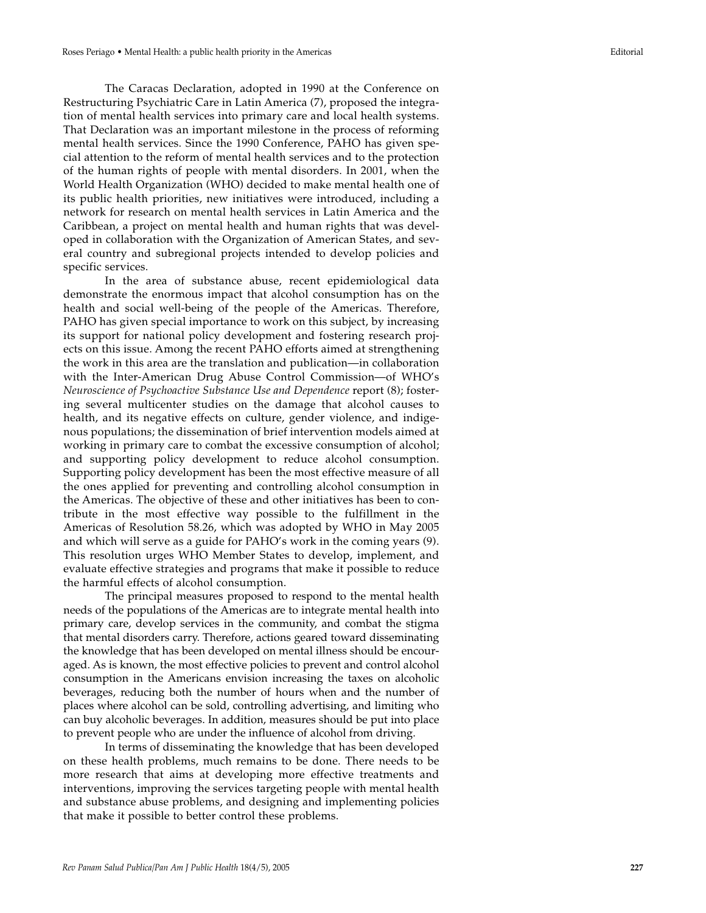The Caracas Declaration, adopted in 1990 at the Conference on Restructuring Psychiatric Care in Latin America (7), proposed the integration of mental health services into primary care and local health systems. That Declaration was an important milestone in the process of reforming mental health services. Since the 1990 Conference, PAHO has given special attention to the reform of mental health services and to the protection of the human rights of people with mental disorders. In 2001, when the World Health Organization (WHO) decided to make mental health one of its public health priorities, new initiatives were introduced, including a network for research on mental health services in Latin America and the Caribbean, a project on mental health and human rights that was developed in collaboration with the Organization of American States, and several country and subregional projects intended to develop policies and specific services.

In the area of substance abuse, recent epidemiological data demonstrate the enormous impact that alcohol consumption has on the health and social well-being of the people of the Americas. Therefore, PAHO has given special importance to work on this subject, by increasing its support for national policy development and fostering research projects on this issue. Among the recent PAHO efforts aimed at strengthening the work in this area are the translation and publication—in collaboration with the Inter-American Drug Abuse Control Commission—of WHO's *Neuroscience of Psychoactive Substance Use and Dependence* report (8); fostering several multicenter studies on the damage that alcohol causes to health, and its negative effects on culture, gender violence, and indigenous populations; the dissemination of brief intervention models aimed at working in primary care to combat the excessive consumption of alcohol; and supporting policy development to reduce alcohol consumption. Supporting policy development has been the most effective measure of all the ones applied for preventing and controlling alcohol consumption in the Americas. The objective of these and other initiatives has been to contribute in the most effective way possible to the fulfillment in the Americas of Resolution 58.26, which was adopted by WHO in May 2005 and which will serve as a guide for PAHO's work in the coming years (9). This resolution urges WHO Member States to develop, implement, and evaluate effective strategies and programs that make it possible to reduce the harmful effects of alcohol consumption.

The principal measures proposed to respond to the mental health needs of the populations of the Americas are to integrate mental health into primary care, develop services in the community, and combat the stigma that mental disorders carry. Therefore, actions geared toward disseminating the knowledge that has been developed on mental illness should be encouraged. As is known, the most effective policies to prevent and control alcohol consumption in the Americans envision increasing the taxes on alcoholic beverages, reducing both the number of hours when and the number of places where alcohol can be sold, controlling advertising, and limiting who can buy alcoholic beverages. In addition, measures should be put into place to prevent people who are under the influence of alcohol from driving.

In terms of disseminating the knowledge that has been developed on these health problems, much remains to be done. There needs to be more research that aims at developing more effective treatments and interventions, improving the services targeting people with mental health and substance abuse problems, and designing and implementing policies that make it possible to better control these problems.